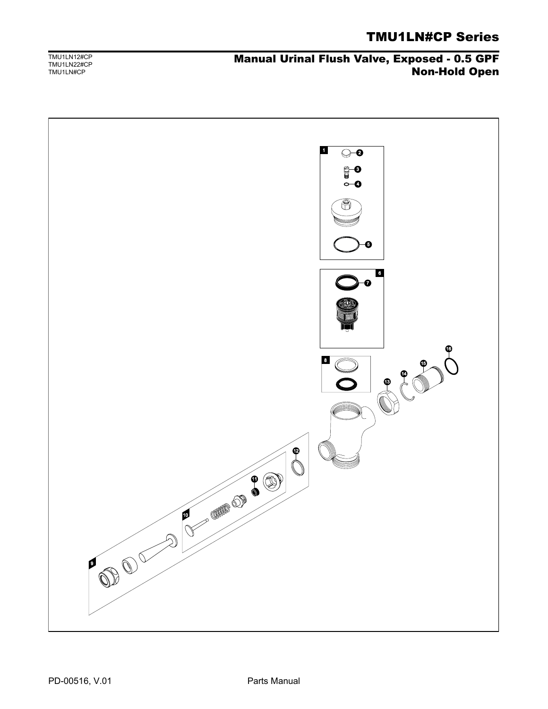## Manual Urinal Flush Valve, Exposed - 0.5 GPF Non-Hold Open

TMU1LN12#CP TMU1LN22#CP TMU1LN#CP